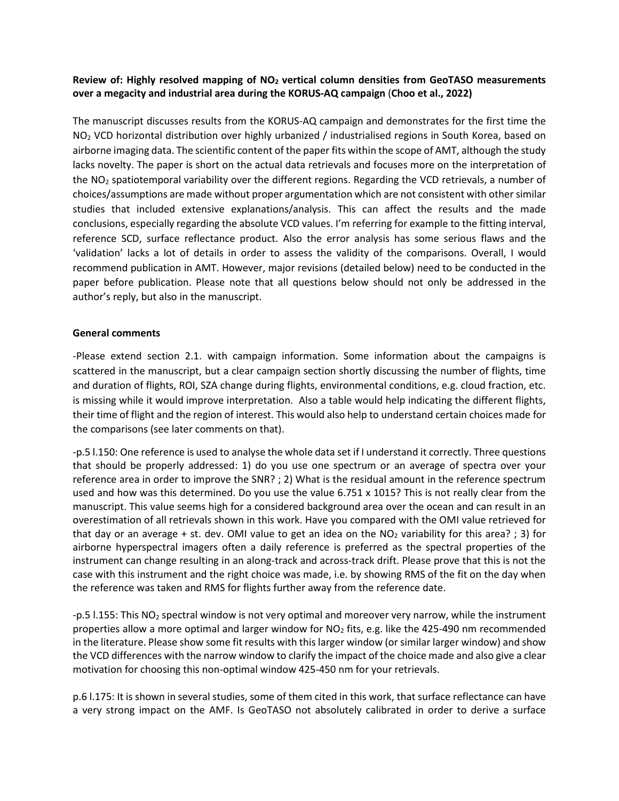## **Review of: Highly resolved mapping of NO<sup>2</sup> vertical column densities from GeoTASO measurements over a megacity and industrial area during the KORUS-AQ campaign** (**Choo et al., 2022)**

The manuscript discusses results from the KORUS-AQ campaign and demonstrates for the first time the NO<sub>2</sub> VCD horizontal distribution over highly urbanized / industrialised regions in South Korea, based on airborne imaging data. The scientific content of the paper fits within the scope of AMT, although the study lacks novelty. The paper is short on the actual data retrievals and focuses more on the interpretation of the NO<sup>2</sup> spatiotemporal variability over the different regions. Regarding the VCD retrievals, a number of choices/assumptions are made without proper argumentation which are not consistent with other similar studies that included extensive explanations/analysis. This can affect the results and the made conclusions, especially regarding the absolute VCD values. I'm referring for example to the fitting interval, reference SCD, surface reflectance product. Also the error analysis has some serious flaws and the 'validation' lacks a lot of details in order to assess the validity of the comparisons. Overall, I would recommend publication in AMT. However, major revisions (detailed below) need to be conducted in the paper before publication. Please note that all questions below should not only be addressed in the author's reply, but also in the manuscript.

## **General comments**

-Please extend section 2.1. with campaign information. Some information about the campaigns is scattered in the manuscript, but a clear campaign section shortly discussing the number of flights, time and duration of flights, ROI, SZA change during flights, environmental conditions, e.g. cloud fraction, etc. is missing while it would improve interpretation. Also a table would help indicating the different flights, their time of flight and the region of interest. This would also help to understand certain choices made for the comparisons (see later comments on that).

-p.5 l.150: One reference is used to analyse the whole data set if I understand it correctly. Three questions that should be properly addressed: 1) do you use one spectrum or an average of spectra over your reference area in order to improve the SNR? ; 2) What is the residual amount in the reference spectrum used and how was this determined. Do you use the value 6.751 x 1015? This is not really clear from the manuscript. This value seems high for a considered background area over the ocean and can result in an overestimation of all retrievals shown in this work. Have you compared with the OMI value retrieved for that day or an average + st. dev. OMI value to get an idea on the  $NO<sub>2</sub>$  variability for this area? ; 3) for airborne hyperspectral imagers often a daily reference is preferred as the spectral properties of the instrument can change resulting in an along-track and across-track drift. Please prove that this is not the case with this instrument and the right choice was made, i.e. by showing RMS of the fit on the day when the reference was taken and RMS for flights further away from the reference date.

-p.5 l.155: This NO<sup>2</sup> spectral window is not very optimal and moreover very narrow, while the instrument properties allow a more optimal and larger window for  $NO<sub>2</sub>$  fits, e.g. like the 425-490 nm recommended in the literature. Please show some fit results with this larger window (or similar larger window) and show the VCD differences with the narrow window to clarify the impact of the choice made and also give a clear motivation for choosing this non-optimal window 425-450 nm for your retrievals.

p.6 l.175: It is shown in several studies, some of them cited in this work, that surface reflectance can have a very strong impact on the AMF. Is GeoTASO not absolutely calibrated in order to derive a surface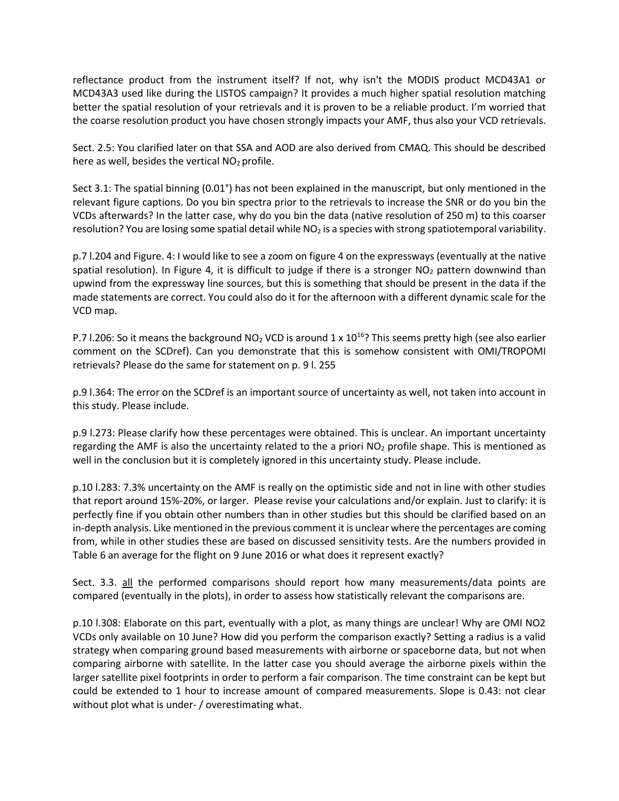reflectance product from the instrument itself? If not, why isn't the MODIS product MCD43A1 or MCD43A3 used like during the LISTOS campaign? It provides a much higher spatial resolution matching better the spatial resolution of your retrievals and it is proven to be a reliable product. I'm worried that the coarse resolution product you have chosen strongly impacts your AMF, thus also your VCD retrievals.

Sect. 2.5: You clarified later on that SSA and AOD are also derived from CMAQ. This should be described here as well, besides the vertical  $NO<sub>2</sub>$  profile.

Sect 3.1: The spatial binning (0.01°) has not been explained in the manuscript, but only mentioned in the relevant figure captions. Do you bin spectra prior to the retrievals to increase the SNR or do you bin the VCDs afterwards? In the latter case, why do you bin the data (native resolution of 250 m) to this coarser resolution? You are losing some spatial detail while NO<sub>2</sub> is a species with strong spatiotemporal variability.

p.7 l.204 and Figure. 4: I would like to see a zoom on figure 4 on the expressways (eventually at the native spatial resolution). In Figure 4, it is difficult to judge if there is a stronger  $NO<sub>2</sub>$  pattern downwind than upwind from the expressway line sources, but this is something that should be present in the data if the made statements are correct. You could also do it for the afternoon with a different dynamic scale for the VCD map.

P.7 I.206: So it means the background  $NO<sub>2</sub> VCD$  is around  $1 \times 10^{16}$ ? This seems pretty high (see also earlier comment on the SCDref). Can you demonstrate that this is somehow consistent with OMI/TROPOMI retrievals? Please do the same for statement on p. 9 l. 255

p.9 l.364: The error on the SCDref is an important source of uncertainty as well, not taken into account in this study. Please include.

p.9 l.273: Please clarify how these percentages were obtained. This is unclear. An important uncertainty regarding the AMF is also the uncertainty related to the a priori  $NO<sub>2</sub>$  profile shape. This is mentioned as well in the conclusion but it is completely ignored in this uncertainty study. Please include.

p.10 l.283: 7.3% uncertainty on the AMF is really on the optimistic side and not in line with other studies that report around 15%-20%, or larger. Please revise your calculations and/or explain. Just to clarify: it is perfectly fine if you obtain other numbers than in other studies but this should be clarified based on an in-depth analysis. Like mentioned in the previous comment it is unclear where the percentages are coming from, while in other studies these are based on discussed sensitivity tests. Are the numbers provided in Table 6 an average for the flight on 9 June 2016 or what does it represent exactly?

Sect. 3.3. all the performed comparisons should report how many measurements/data points are compared (eventually in the plots), in order to assess how statistically relevant the comparisons are.

p.10 l.308: Elaborate on this part, eventually with a plot, as many things are unclear! Why are OMI NO2 VCDs only available on 10 June? How did you perform the comparison exactly? Setting a radius is a valid strategy when comparing ground based measurements with airborne or spaceborne data, but not when comparing airborne with satellite. In the latter case you should average the airborne pixels within the larger satellite pixel footprints in order to perform a fair comparison. The time constraint can be kept but could be extended to 1 hour to increase amount of compared measurements. Slope is 0.43: not clear without plot what is under- / overestimating what.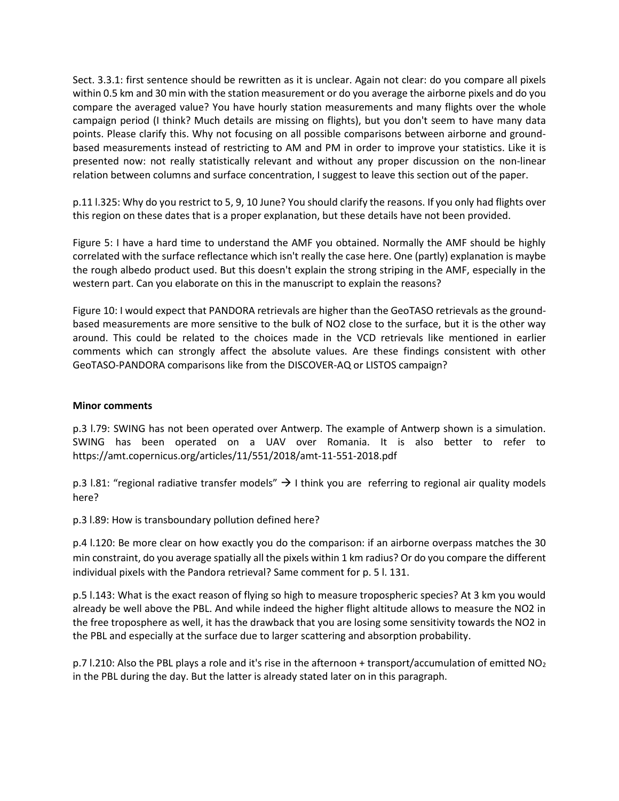Sect. 3.3.1: first sentence should be rewritten as it is unclear. Again not clear: do you compare all pixels within 0.5 km and 30 min with the station measurement or do you average the airborne pixels and do you compare the averaged value? You have hourly station measurements and many flights over the whole campaign period (I think? Much details are missing on flights), but you don't seem to have many data points. Please clarify this. Why not focusing on all possible comparisons between airborne and groundbased measurements instead of restricting to AM and PM in order to improve your statistics. Like it is presented now: not really statistically relevant and without any proper discussion on the non-linear relation between columns and surface concentration, I suggest to leave this section out of the paper.

p.11 l.325: Why do you restrict to 5, 9, 10 June? You should clarify the reasons. If you only had flights over this region on these dates that is a proper explanation, but these details have not been provided.

Figure 5: I have a hard time to understand the AMF you obtained. Normally the AMF should be highly correlated with the surface reflectance which isn't really the case here. One (partly) explanation is maybe the rough albedo product used. But this doesn't explain the strong striping in the AMF, especially in the western part. Can you elaborate on this in the manuscript to explain the reasons?

Figure 10: I would expect that PANDORA retrievals are higher than the GeoTASO retrievals as the groundbased measurements are more sensitive to the bulk of NO2 close to the surface, but it is the other way around. This could be related to the choices made in the VCD retrievals like mentioned in earlier comments which can strongly affect the absolute values. Are these findings consistent with other GeoTASO-PANDORA comparisons like from the DISCOVER-AQ or LISTOS campaign?

## **Minor comments**

p.3 l.79: SWING has not been operated over Antwerp. The example of Antwerp shown is a simulation. SWING has been operated on a UAV over Romania. It is also better to refer to https://amt.copernicus.org/articles/11/551/2018/amt-11-551-2018.pdf

p.3 l.81: "regional radiative transfer models"  $\rightarrow$  1 think you are referring to regional air quality models here?

p.3 l.89: How is transboundary pollution defined here?

p.4 l.120: Be more clear on how exactly you do the comparison: if an airborne overpass matches the 30 min constraint, do you average spatially all the pixels within 1 km radius? Or do you compare the different individual pixels with the Pandora retrieval? Same comment for p. 5 l. 131.

p.5 l.143: What is the exact reason of flying so high to measure tropospheric species? At 3 km you would already be well above the PBL. And while indeed the higher flight altitude allows to measure the NO2 in the free troposphere as well, it has the drawback that you are losing some sensitivity towards the NO2 in the PBL and especially at the surface due to larger scattering and absorption probability.

p.7 l.210: Also the PBL plays a role and it's rise in the afternoon + transport/accumulation of emitted NO<sub>2</sub> in the PBL during the day. But the latter is already stated later on in this paragraph.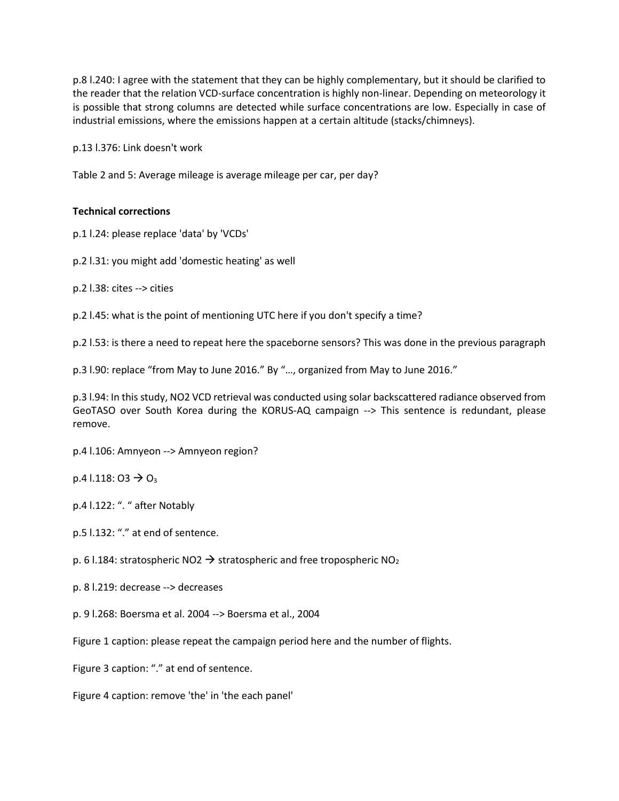p.8 l.240: I agree with the statement that they can be highly complementary, but it should be clarified to the reader that the relation VCD-surface concentration is highly non-linear. Depending on meteorology it is possible that strong columns are detected while surface concentrations are low. Especially in case of industrial emissions, where the emissions happen at a certain altitude (stacks/chimneys).

p.13 l.376: Link doesn't work

Table 2 and 5: Average mileage is average mileage per car, per day?

## **Technical corrections**

p.1 l.24: please replace 'data' by 'VCDs'

p.2 l.31: you might add 'domestic heating' as well

p.2 l.38: cites --> cities

p.2 l.45: what is the point of mentioning UTC here if you don't specify a time?

p.2 l.53: is there a need to repeat here the spaceborne sensors? This was done in the previous paragraph

p.3 l.90: replace "from May to June 2016." By "…, organized from May to June 2016."

p.3 l.94: In this study, NO2 VCD retrieval was conducted using solar backscattered radiance observed from GeoTASO over South Korea during the KORUS-AQ campaign --> This sentence is redundant, please remove.

p.4 l.106: Amnyeon --> Amnyeon region?

 $p.4$  l.118: O3  $\rightarrow$  O<sub>3</sub>

p.4 l.122: ". " after Notably

p.5 l.132: "." at end of sentence.

p. 6 l.184: stratospheric NO2  $\rightarrow$  stratospheric and free tropospheric NO<sub>2</sub>

p. 8 l.219: decrease --> decreases

p. 9 l.268: Boersma et al. 2004 --> Boersma et al., 2004

Figure 1 caption: please repeat the campaign period here and the number of flights.

Figure 3 caption: "." at end of sentence.

Figure 4 caption: remove 'the' in 'the each panel'